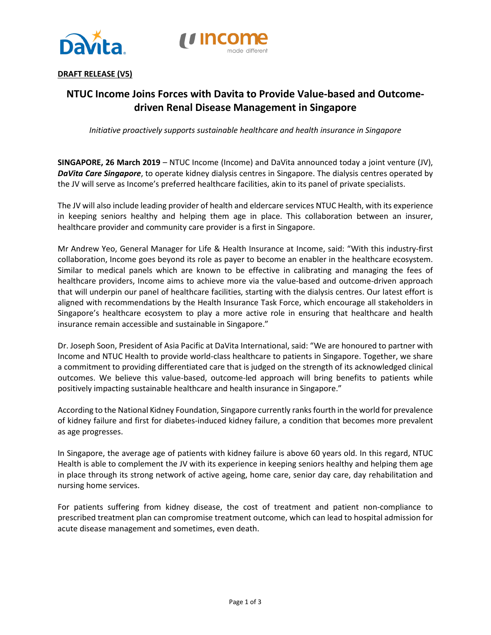



## **DRAFT RELEASE (V5)**

# **NTUC Income Joins Forces with Davita to Provide Value-based and Outcomedriven Renal Disease Management in Singapore**

*Initiative proactively supports sustainable healthcare and health insurance in Singapore*

**SINGAPORE, 26 March 2019** – NTUC Income (Income) and DaVita announced today a joint venture (JV), *DaVita Care Singapore*, to operate kidney dialysis centres in Singapore. The dialysis centres operated by the JV will serve as Income's preferred healthcare facilities, akin to its panel of private specialists.

The JV will also include leading provider of health and eldercare services NTUC Health, with its experience in keeping seniors healthy and helping them age in place. This collaboration between an insurer, healthcare provider and community care provider is a first in Singapore.

Mr Andrew Yeo, General Manager for Life & Health Insurance at Income, said: "With this industry-first collaboration, Income goes beyond its role as payer to become an enabler in the healthcare ecosystem. Similar to medical panels which are known to be effective in calibrating and managing the fees of healthcare providers, Income aims to achieve more via the value-based and outcome-driven approach that will underpin our panel of healthcare facilities, starting with the dialysis centres. Our latest effort is aligned with recommendations by the Health Insurance Task Force, which encourage all stakeholders in Singapore's healthcare ecosystem to play a more active role in ensuring that healthcare and health insurance remain accessible and sustainable in Singapore."

Dr. Joseph Soon, President of Asia Pacific at DaVita International, said: "We are honoured to partner with Income and NTUC Health to provide world-class healthcare to patients in Singapore. Together, we share a commitment to providing differentiated care that is judged on the strength of its acknowledged clinical outcomes. We believe this value-based, outcome-led approach will bring benefits to patients while positively impacting sustainable healthcare and health insurance in Singapore."

According to the National Kidney Foundation, Singapore currently ranks fourth in the world for prevalence of kidney failure and first for diabetes-induced kidney failure, a condition that becomes more prevalent as age progresses.

In Singapore, the average age of patients with kidney failure is above 60 years old. In this regard, NTUC Health is able to complement the JV with its experience in keeping seniors healthy and helping them age in place through its strong network of active ageing, home care, senior day care, day rehabilitation and nursing home services.

For patients suffering from kidney disease, the cost of treatment and patient non-compliance to prescribed treatment plan can compromise treatment outcome, which can lead to hospital admission for acute disease management and sometimes, even death.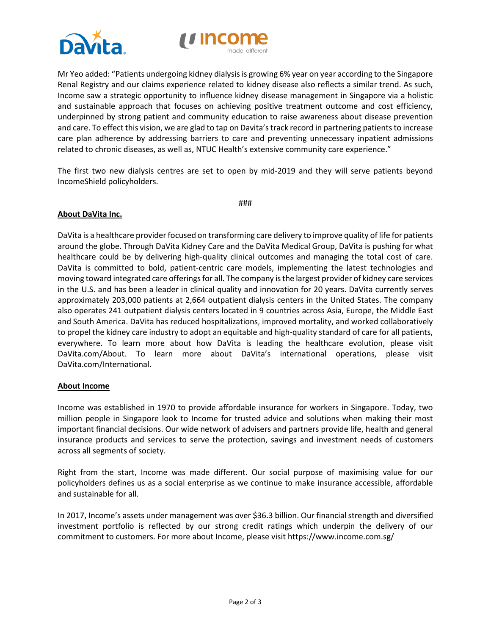



Mr Yeo added: "Patients undergoing kidney dialysis is growing 6% year on year according to the Singapore Renal Registry and our claims experience related to kidney disease also reflects a similar trend. As such, Income saw a strategic opportunity to influence kidney disease management in Singapore via a holistic and sustainable approach that focuses on achieving positive treatment outcome and cost efficiency, underpinned by strong patient and community education to raise awareness about disease prevention and care. To effect this vision, we are glad to tap on Davita's track record in partnering patients to increase care plan adherence by addressing barriers to care and preventing unnecessary inpatient admissions related to chronic diseases, as well as, NTUC Health's extensive community care experience."

The first two new dialysis centres are set to open by mid-2019 and they will serve patients beyond IncomeShield policyholders.

###

## **About DaVita Inc.**

DaVita is a healthcare provider focused on transforming care delivery to improve quality of life for patients around the globe. Through DaVita Kidney Care and the DaVita Medical Group, DaVita is pushing for what healthcare could be by delivering high-quality clinical outcomes and managing the total cost of care. DaVita is committed to bold, patient-centric care models, implementing the latest technologies and moving toward integrated care offerings for all. The company is the largest provider of kidney care services in the U.S. and has been a leader in clinical quality and innovation for 20 years. DaVita currently serves approximately 203,000 patients at 2,664 outpatient dialysis centers in the United States. The company also operates 241 outpatient dialysis centers located in 9 countries across Asia, Europe, the Middle East and South America. DaVita has reduced hospitalizations, improved mortality, and worked collaboratively to propel the kidney care industry to adopt an equitable and high-quality standard of care for all patients, everywhere. To learn more about how DaVita is leading the healthcare evolution, please visit DaVita.com/About. To learn more about DaVita's international operations, please visit DaVita.com/International.

## **About Income**

Income was established in 1970 to provide affordable insurance for workers in Singapore. Today, two million people in Singapore look to Income for trusted advice and solutions when making their most important financial decisions. Our wide network of advisers and partners provide life, health and general insurance products and services to serve the protection, savings and investment needs of customers across all segments of society.

Right from the start, Income was made different. Our social purpose of maximising value for our policyholders defines us as a social enterprise as we continue to make insurance accessible, affordable and sustainable for all.

In 2017, Income's assets under management was over \$36.3 billion. Our financial strength and diversified investment portfolio is reflected by our strong credit ratings which underpin the delivery of our commitment to customers. For more about Income, please visit https://www.income.com.sg/